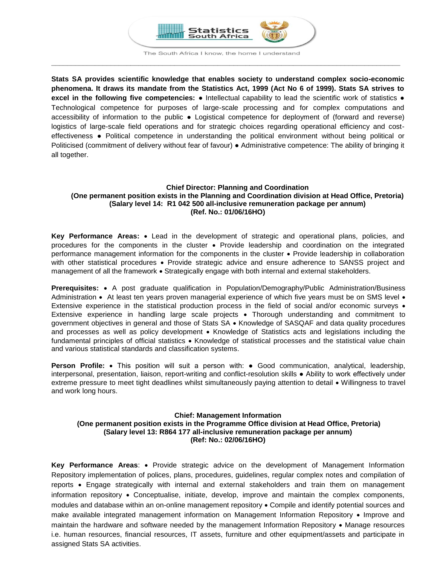

The South Africa I know, the home I understand **\_\_\_\_\_\_\_\_\_\_\_\_\_\_\_\_\_\_\_\_\_\_\_\_\_\_\_\_\_\_\_\_\_\_\_\_\_\_\_\_\_\_\_\_\_\_\_\_\_\_\_\_\_\_\_\_\_\_\_\_\_\_\_\_\_\_\_\_\_\_\_\_\_\_\_\_\_\_\_\_\_\_\_\_\_\_\_\_**

**Stats SA provides scientific knowledge that enables society to understand complex socio-economic phenomena. It draws its mandate from the Statistics Act, 1999 (Act No 6 of 1999). Stats SA strives to excel in the following five competencies:** ● Intellectual capability to lead the scientific work of statistics ● Technological competence for purposes of large-scale processing and for complex computations and accessibility of information to the public ● Logistical competence for deployment of (forward and reverse) logistics of large-scale field operations and for strategic choices regarding operational efficiency and costeffectiveness ● Political competence in understanding the political environment without being political or Politicised (commitment of delivery without fear of favour) ● Administrative competence: The ability of bringing it all together.

# **Chief Director: Planning and Coordination (One permanent position exists in the Planning and Coordination division at Head Office, Pretoria) (Salary level 14: R1 042 500 all-inclusive remuneration package per annum) (Ref. No.: 01/06/16HO)**

**Key Performance Areas:** Lead in the development of strategic and operational plans, policies, and procedures for the components in the cluster Provide leadership and coordination on the integrated performance management information for the components in the cluster Provide leadership in collaboration with other statistical procedures • Provide strategic advice and ensure adherence to SANSS project and management of all the framework • Strategically engage with both internal and external stakeholders.

**Prerequisites:** A post graduate qualification in Population/Demography/Public Administration/Business Administration  $\bullet$  At least ten years proven managerial experience of which five years must be on SMS level  $\bullet$ Extensive experience in the statistical production process in the field of social and/or economic surveys • Extensive experience in handling large scale projects • Thorough understanding and commitment to government objectives in general and those of Stats SA • Knowledge of SASQAF and data quality procedures and processes as well as policy development . Knowledge of Statistics acts and legislations including the fundamental principles of official statistics • Knowledge of statistical processes and the statistical value chain and various statistical standards and classification systems.

**Person Profile:** • This position will suit a person with: • Good communication, analytical, leadership, interpersonal, presentation, liaison, report-writing and conflict-resolution skills ● Ability to work effectively under extreme pressure to meet tight deadlines whilst simultaneously paying attention to detail • Willingness to travel and work long hours.

# **Chief: Management Information (One permanent position exists in the Programme Office division at Head Office, Pretoria) (Salary level 13: R864 177 all-inclusive remuneration package per annum) (Ref: No.: 02/06/16HO)**

**Key Performance Areas**: Provide strategic advice on the development of Management Information Repository implementation of polices, plans, procedures, guidelines, regular complex notes and compilation of reports Engage strategically with internal and external stakeholders and train them on management information repository • Conceptualise, initiate, develop, improve and maintain the complex components, modules and database within an on-online management repository • Compile and identify potential sources and make available integrated management information on Management Information Repository • Improve and maintain the hardware and software needed by the management Information Repository • Manage resources i.e. human resources, financial resources, IT assets, furniture and other equipment/assets and participate in assigned Stats SA activities.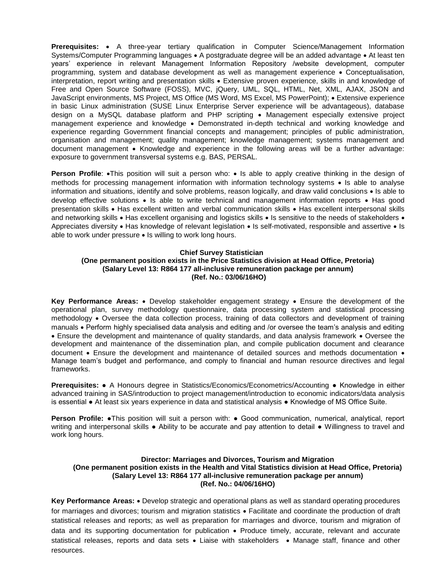**Prerequisites:** • A three-year tertiary qualification in Computer Science/Management Information Systems/Computer Programming languages • A postgraduate degree will be an added advantage • At least ten years' experience in relevant Management Information Repository /website development, computer programming, system and database development as well as management experience • Conceptualisation, interpretation, report writing and presentation skills Extensive proven experience, skills in and knowledge of Free and Open Source Software (FOSS), MVC, jQuery, UML, SQL, HTML, Net, XML, AJAX, JSON and JavaScript environments, MS Project, MS Office (MS Word, MS Excel, MS PowerPoint); • Extensive experience in basic Linux administration (SUSE Linux Enterprise Server experience will be advantageous), database design on a MySQL database platform and PHP scripting Management especially extensive project management experience and knowledge Demonstrated in-depth technical and working knowledge and experience regarding Government financial concepts and management; principles of public administration, organisation and management; quality management; knowledge management; systems management and document management • Knowledge and experience in the following areas will be a further advantage: exposure to government transversal systems e.g. BAS, PERSAL.

**Person Profile**: •This position will suit a person who: • Is able to apply creative thinking in the design of methods for processing management information with information technology systems • Is able to analyse information and situations, identify and solve problems, reason logically, and draw valid conclusions • Is able to develop effective solutions • Is able to write technical and management information reports • Has good presentation skills • Has excellent written and verbal communication skills • Has excellent interpersonal skills and networking skills • Has excellent organising and logistics skills • Is sensitive to the needs of stakeholders • Appreciates diversity • Has knowledge of relevant legislation • Is self-motivated, responsible and assertive • Is able to work under pressure  $\bullet$  Is willing to work long hours.

#### **Chief Survey Statistician**

## **(One permanent position exists in the Price Statistics division at Head Office, Pretoria) (Salary Level 13: R864 177 all-inclusive remuneration package per annum) (Ref. No.: 03/06/16HO)**

**Key Performance Areas:** . Develop stakeholder engagement strategy . Ensure the development of the operational plan, survey methodology questionnaire, data processing system and statistical processing methodology • Oversee the data collection process, training of data collectors and development of training manuals Perform highly specialised data analysis and editing and /or oversee the team's analysis and editing • Ensure the development and maintenance of quality standards, and data analysis framework • Oversee the development and maintenance of the dissemination plan, and compile publication document and clearance document • Ensure the development and maintenance of detailed sources and methods documentation • Manage team's budget and performance, and comply to financial and human resource directives and legal frameworks.

**Prerequisites:** ● A Honours degree in Statistics/Economics/Econometrics/Accounting ● Knowledge in either advanced training in SAS/introduction to project management/introduction to economic indicators/data analysis is essential ● At least six years experience in data and statistical analysis ● Knowledge of MS Office Suite.

**Person Profile: •**This position will suit a person with: • Good communication, numerical, analytical, report writing and interpersonal skills ● Ability to be accurate and pay attention to detail ● Willingness to travel and work long hours.

## **Director: Marriages and Divorces, Tourism and Migration (One permanent position exists in the Health and Vital Statistics division at Head Office, Pretoria) (Salary Level 13: R864 177 all-inclusive remuneration package per annum) (Ref. No.: 04/06/16HO)**

Key Performance Areas: • Develop strategic and operational plans as well as standard operating procedures for marriages and divorces; tourism and migration statistics • Facilitate and coordinate the production of draft statistical releases and reports; as well as preparation for marriages and divorce, tourism and migration of data and its supporting documentation for publication • Produce timely, accurate, relevant and accurate statistical releases, reports and data sets • Liaise with stakeholders • Manage staff, finance and other resources.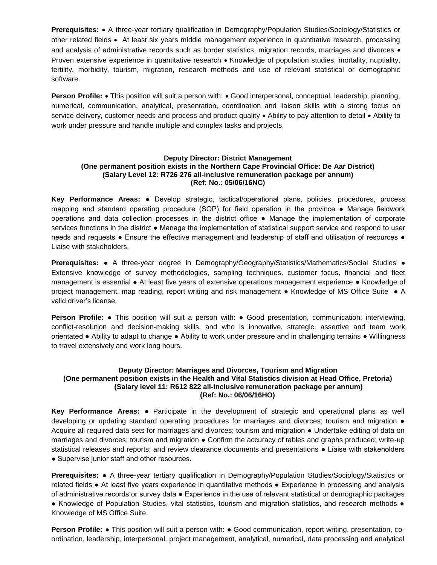**Prerequisites:** • A three-year tertiary qualification in Demography/Population Studies/Sociology/Statistics or other related fields • At least six years middle management experience in quantitative research, processing and analysis of administrative records such as border statistics, migration records, marriages and divorces  $\bullet$ Proven extensive experience in quantitative research • Knowledge of population studies, mortality, nuptiality, fertility, morbidity, tourism, migration, research methods and use of relevant statistical or demographic software.

**Person Profile:** • This position will suit a person with: • Good interpersonal, conceptual, leadership, planning, numerical, communication, analytical, presentation, coordination and liaison skills with a strong focus on service delivery, customer needs and process and product quality  $\bullet$  Ability to pay attention to detail  $\bullet$  Ability to work under pressure and handle multiple and complex tasks and projects.

## **Deputy Director: District Management (One permanent position exists in the Northern Cape Provincial Office: De Aar District) (Salary Level 12: R726 276 all-inclusive remuneration package per annum) (Ref: No.: 05/06/16NC)**

**Key Performance Areas:** ● Develop strategic, tactical/operational plans, policies, procedures, process mapping and standard operating procedure (SOP) for field operation in the province ● Manage fieldwork operations and data collection processes in the district office ● Manage the implementation of corporate services functions in the district ● Manage the implementation of statistical support service and respond to user needs and requests • Ensure the effective management and leadership of staff and utilisation of resources • Liaise with stakeholders.

**Prerequisites:** ● A three-year degree in Demography/Geography/Statistics/Mathematics/Social Studies ● Extensive knowledge of survey methodologies, sampling techniques, customer focus, financial and fleet management is essential ● At least five years of extensive operations management experience ● Knowledge of project management, map reading, report writing and risk management ● Knowledge of MS Office Suite ● A valid driver's license.

**Person Profile: •** This position will suit a person with: • Good presentation, communication, interviewing, conflict-resolution and decision-making skills, and who is innovative, strategic, assertive and team work orientated ● Ability to adapt to change ● Ability to work under pressure and in challenging terrains ● Willingness to travel extensively and work long hours.

#### **Deputy Director: Marriages and Divorces, Tourism and Migration (One permanent position exists in the Health and Vital Statistics division at Head Office, Pretoria) (Salary level 11: R612 822 all-inclusive remuneration package per annum) (Ref: No.: 06/06/16HO)**

**Key Performance Areas:** ● Participate in the development of strategic and operational plans as well developing or updating standard operating procedures for marriages and divorces; tourism and migration ● Acquire all required data sets for marriages and divorces; tourism and migration ● Undertake editing of data on marriages and divorces; tourism and migration ● Confirm the accuracy of tables and graphs produced; write-up statistical releases and reports; and review clearance documents and presentations ● Liaise with stakeholders ● Supervise junior staff and other resources.

**Prerequisites:** ● A three-year tertiary qualification in Demography/Population Studies/Sociology/Statistics or related fields ● At least five years experience in quantitative methods ● Experience in processing and analysis of administrative records or survey data ● Experience in the use of relevant statistical or demographic packages ● Knowledge of Population Studies, vital statistics, tourism and migration statistics, and research methods ● Knowledge of MS Office Suite.

**Person Profile: •** This position will suit a person with: • Good communication, report writing, presentation, coordination, leadership, interpersonal, project management, analytical, numerical, data processing and analytical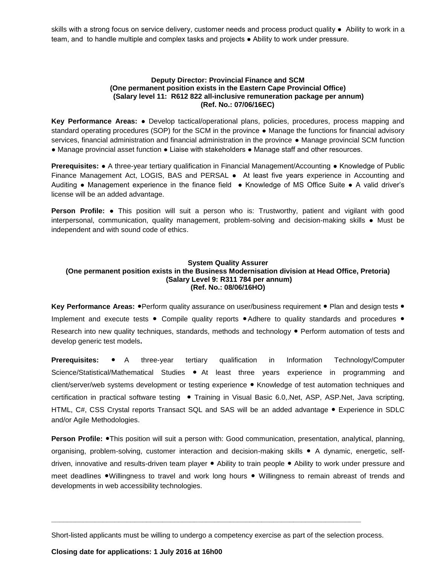skills with a strong focus on service delivery, customer needs and process product quality ● Ability to work in a team, and to handle multiple and complex tasks and projects ● Ability to work under pressure.

## **Deputy Director: Provincial Finance and SCM (One permanent position exists in the Eastern Cape Provincial Office) (Salary level 11: R612 822 all-inclusive remuneration package per annum) (Ref. No.: 07/06/16EC)**

**Key Performance Areas:** ● Develop tactical/operational plans, policies, procedures, process mapping and standard operating procedures (SOP) for the SCM in the province ● Manage the functions for financial advisory services, financial administration and financial administration in the province ● Manage provincial SCM function ● Manage provincial asset function ● Liaise with stakeholders ● Manage staff and other resources.

**Prerequisites: •** A three-year tertiary qualification in Financial Management/Accounting • Knowledge of Public Finance Management Act, LOGIS, BAS and PERSAL ● At least five years experience in Accounting and Auditing ● Management experience in the finance field ● Knowledge of MS Office Suite ● A valid driver's license will be an added advantage.

**Person Profile: ●** This position will suit a person who is: Trustworthy, patient and vigilant with good interpersonal, communication, quality management, problem-solving and decision-making skills ● Must be independent and with sound code of ethics.

## **System Quality Assurer (One permanent position exists in the Business Modernisation division at Head Office, Pretoria) (Salary Level 9: R311 784 per annum) (Ref. No.: 08/06/16HO)**

**Key Performance Areas: ●Perform quality assurance on user/business requirement ● Plan and design tests ●** Implement and execute tests ● Compile quality reports ●Adhere to quality standards and procedures ● Research into new quality techniques, standards, methods and technology ● Perform automation of tests and develop generic test models**.**

**Prerequisites:** ● A three-year tertiary qualification in Information Technology/Computer Science/Statistical/Mathematical Studies ● At least three years experience in programming and client/server/web systems development or testing experience ● Knowledge of test automation techniques and certification in practical software testing ● Training in Visual Basic 6.0,.Net, ASP, ASP.Net, Java scripting, HTML, C#, CSS Crystal reports Transact SQL and SAS will be an added advantage ● Experience in SDLC and/or Agile Methodologies.

**Person Profile: ●This position will suit a person with: Good communication, presentation, analytical, planning,** organising, problem-solving, customer interaction and decision-making skills ● A dynamic, energetic, selfdriven, innovative and results-driven team player ● Ability to train people ● Ability to work under pressure and meet deadlines ●Willingness to travel and work long hours ● Willingness to remain abreast of trends and developments in web accessibility technologies.

Short-listed applicants must be willing to undergo a competency exercise as part of the selection process.

**\_\_\_\_\_\_\_\_\_\_\_\_\_\_\_\_\_\_\_\_\_\_\_\_\_\_\_\_\_\_\_\_\_\_\_\_\_\_\_\_\_\_\_\_\_\_\_\_\_\_\_\_\_\_\_\_\_\_\_\_\_\_\_\_\_\_\_\_\_\_\_\_\_\_\_\_\_\_**

**Closing date for applications: 1 July 2016 at 16h00**